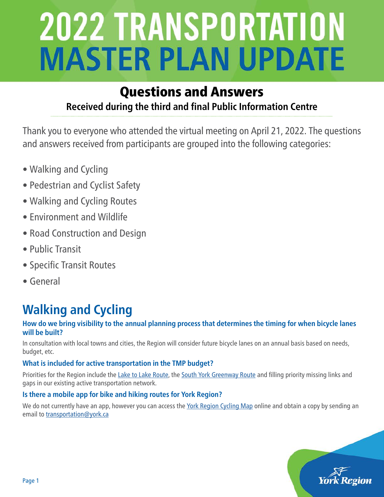### Questions and Answers **Received during the third and final Public Information Centre**

Thank you to everyone who attended the virtual meeting on April 21, 2022. The questions and answers received from participants are grouped into the following categories:

- Walking and Cycling
- Pedestrian and Cyclist Safety
- Walking and Cycling Routes
- Environment and Wildlife
- Road Construction and Design
- Public Transit
- Specific Transit Routes
- General

## **Walking and Cycling**

#### **How do we bring visibility to the annual planning process that determines the timing for when bicycle lanes will be built?**

In consultation with local towns and cities, the Region will consider future bicycle lanes on an annual basis based on needs, budget, etc.

#### **What is included for active transportation in the TMP budget?**

Priorities for the Region include the [Lake to Lake Route](https://www.york.ca/transportation/cycling/lake-lake-cycling-route-and-walking-trail), the [South York Greenway Route](https://www.york.ca/newsroom/campaigns-projects/help-us-plan-new-south-york-greenway) and filling priority missing links and gaps in our existing active transportation network.

#### **Is there a mobile app for bike and hiking routes for York Region?**

We do not currently have an app, however you can access the [York Region Cycling Map](https://www.york.ca/recreation/cycling) online and obtain a copy by sending an email to [transportation@york.ca](mailto:transportation%40york.ca?subject=)

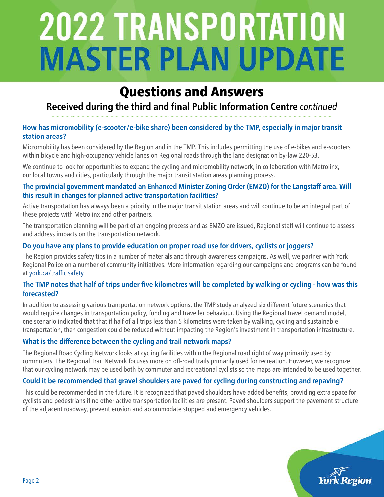## Questions and Answers

### **Received during the third and final Public Information Centre** *continued*

#### **How has micromobility (e-scooter/e-bike share) been considered by the TMP, especially in major transit station areas?**

Micromobility has been considered by the Region and in the TMP. This includes permitting the use of e-bikes and e-scooters within bicycle and high-occupancy vehicle lanes on Regional roads through the lane designation by-law 220-53.

We continue to look for opportunities to expand the cycling and micromobility network, in collaboration with Metrolinx, our local towns and cities, particularly through the major transit station areas planning process.

#### **The provincial government mandated an Enhanced Minister Zoning Order (EMZO) for the Langstaff area. Will this result in changes for planned active transportation facilities?**

Active transportation has always been a priority in the major transit station areas and will continue to be an integral part of these projects with Metrolinx and other partners.

The transportation planning will be part of an ongoing process and as EMZO are issued, Regional staff will continue to assess and address impacts on the transportation network.

#### **Do you have any plans to provide education on proper road use for drivers, cyclists or joggers?**

The Region provides safety tips in a number of materials and through awareness campaigns. As well, we partner with York Regional Police on a number of community initiatives. More information regarding our campaigns and programs can be found at [york.ca/traffic safety](http://york.ca/traffic safety)

#### **The TMP notes that half of trips under five kilometres will be completed by walking or cycling - how was this forecasted?**

In addition to assessing various transportation network options, the TMP study analyzed six different future scenarios that would require changes in transportation policy, funding and traveller behaviour. Using the Regional travel demand model, one scenario indicated that that if half of all trips less than 5 kilometres were taken by walking, cycling and sustainable transportation, then congestion could be reduced without impacting the Region's investment in transportation infrastructure.

#### **What is the difference between the cycling and trail network maps?**

The Regional Road Cycling Network looks at cycling facilities within the Regional road right of way primarily used by commuters. The Regional Trail Network focuses more on off-road trails primarily used for recreation. However, we recognize that our cycling network may be used both by commuter and recreational cyclists so the maps are intended to be used together.

#### **Could it be recommended that gravel shoulders are paved for cycling during constructing and repaving?**

This could be recommended in the future. It is recognized that paved shoulders have added benefits, providing extra space for cyclists and pedestrians if no other active transportation facilities are present. Paved shoulders support the pavement structure of the adjacent roadway, prevent erosion and accommodate stopped and emergency vehicles.

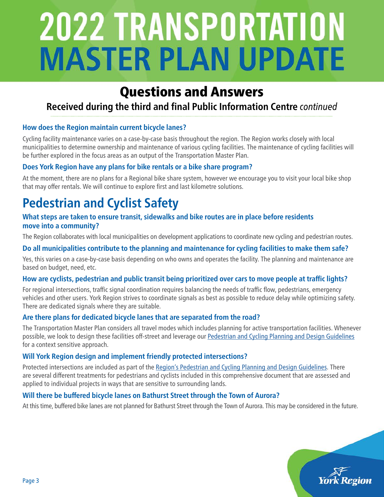## Questions and Answers

### **Received during the third and final Public Information Centre** *continued*

#### **How does the Region maintain current bicycle lanes?**

Cycling facility maintenance varies on a case-by-case basis throughout the region. The Region works closely with local municipalities to determine ownership and maintenance of various cycling facilities. The maintenance of cycling facilities will be further explored in the focus areas as an output of the Transportation Master Plan.

#### **Does York Region have any plans for bike rentals or a bike share program?**

At the moment, there are no plans for a Regional bike share system, however we encourage you to visit your local bike shop that may offer rentals. We will continue to explore first and last kilometre solutions.

## **Pedestrian and Cyclist Safety**

#### **What steps are taken to ensure transit, sidewalks and bike routes are in place before residents move into a community?**

The Region collaborates with local municipalities on development applications to coordinate new cycling and pedestrian routes.

#### **Do all municipalities contribute to the planning and maintenance for cycling facilities to make them safe?**

Yes, this varies on a case-by-case basis depending on who owns and operates the facility. The planning and maintenance are based on budget, need, etc.

#### **How are cyclists, pedestrian and public transit being prioritized over cars to move people at traffic lights?**

For regional intersections, traffic signal coordination requires balancing the needs of traffic flow, pedestrians, emergency vehicles and other users. York Region strives to coordinate signals as best as possible to reduce delay while optimizing safety. There are dedicated signals where they are suitable.

#### **Are there plans for dedicated bicycle lanes that are separated from the road?**

The Transportation Master Plan considers all travel modes which includes planning for active transportation facilities. Whenever possible, we look to design these facilities off-street and leverage our [Pedestrian and Cycling Planning and Design Guidelines](https://www.york.ca/business/land-development/construction-design-guidelines-and-standards) for a context sensitive approach.

#### **Will York Region design and implement friendly protected intersections?**

Protected intersections are included as part of the [Region's Pedestrian and Cycling Planning and Design Guidelines](https://www.york.ca/business/land-development/construction-design-guidelines-and-standards). There are several different treatments for pedestrians and cyclists included in this comprehensive document that are assessed and applied to individual projects in ways that are sensitive to surrounding lands.

#### **Will there be buffered bicycle lanes on Bathurst Street through the Town of Aurora?**

At this time, buffered bike lanes are not planned for Bathurst Street through the Town of Aurora. This may be considered in the future.

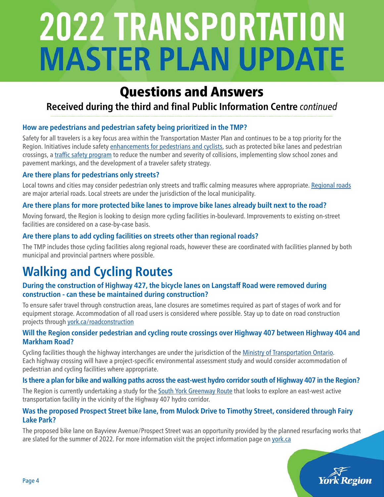## Questions and Answers

### **Received during the third and final Public Information Centre** *continued*

#### **How are pedestrians and pedestrian safety being prioritized in the TMP?**

Safety for all travelers is a key focus area within the Transportation Master Plan and continues to be a top priority for the Region. Initiatives include safety [enhancements for pedestrians and cyclists,](https://www.york.ca/newsroom/campaigns-projects/motorists-pedestrians-lets-work-our-relationship) such as protected bike lanes and pedestrian crossings, a [traffic safety program](https://www.york.ca/transportation/traffic/traffic-safety-program) to reduce the number and severity of collisions, implementing slow school zones and pavement markings, and the development of a traveler safety strategy.

#### **Are there plans for pedestrians only streets?**

Local towns and cities may consider pedestrian only streets and traffic calming measures where appropriate. [Regional roads](https://www.york.ca/transportation/roads) are major arterial roads. Local streets are under the jurisdiction of the local municipality.

#### **Are there plans for more protected bike lanes to improve bike lanes already built next to the road?**

Moving forward, the Region is looking to design more cycling facilities in-boulevard. Improvements to existing on-street facilities are considered on a case-by-case basis.

#### **Are there plans to add cycling facilities on streets other than regional roads?**

The TMP includes those cycling facilities along regional roads, however these are coordinated with facilities planned by both municipal and provincial partners where possible.

## **Walking and Cycling Routes**

#### **During the construction of Highway 427, the bicycle lanes on Langstaff Road were removed during construction - can these be maintained during construction?**

To ensure safer travel through construction areas, lane closures are sometimes required as part of stages of work and for equipment storage. Accommodation of all road users is considered where possible. Stay up to date on road construction projects through [york.ca/roadconstruction](https://www.york.ca/transportation/roads/road-construction-schedule)

#### **Will the Region consider pedestrian and cycling route crossings over Highway 407 between Highway 404 and Markham Road?**

Cycling facilities though the highway interchanges are under the jurisdiction of the [Ministry of Transportation Ontario](https://www.ontario.ca/page/ministry-transportation). Each highway crossing will have a project-specific environmental assessment study and would consider accommodation of pedestrian and cycling facilities where appropriate.

#### **Is there a plan for bike and walking paths across the east-west hydro corridor south of Highway 407 in the Region?**

The Region is currently undertaking a study for the [South York Greenway Route](https://www.york.ca/newsroom/campaigns-projects/help-us-plan-new-south-york-greenway) that looks to explore an east-west active transportation facility in the vicinity of the Highway 407 hydro corridor.

#### **Was the proposed Prospect Street bike lane, from Mulock Drive to Timothy Street, considered through Fairy Lake Park?**

The proposed bike lane on Bayview Avenue/Prospect Street was an opportunity provided by the planned resurfacing works that are slated for the summer of 2022. For more information visit the project information page on [york.ca](https://www.york.ca/newsroom/campaigns-projects/share-your-thoughts-safer-cycling-options-prospect-streetbayview-avenue)

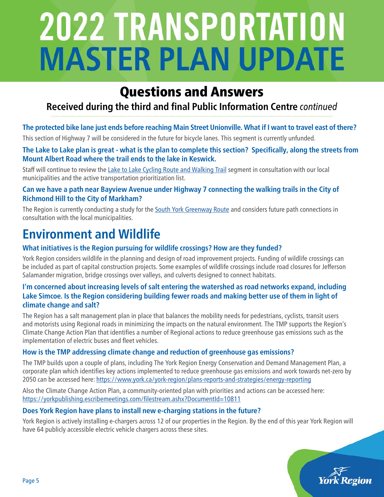## Questions and Answers

### **Received during the third and final Public Information Centre** *continued*

#### **The protected bike lane just ends before reaching Main Street Unionville. What if I want to travel east of there?**

This section of Highway 7 will be considered in the future for bicycle lanes. This segment is currently unfunded.

#### **The Lake to Lake plan is great - what is the plan to complete this section? Specifically, along the streets from Mount Albert Road where the trail ends to the lake in Keswick.**

Staff will continue to review the [Lake to Lake Cycling Route and Walking Trail](https://www.york.ca/transportation/cycling/lake-lake-cycling-route-and-walking-trail) segment in consultation with our local municipalities and the active transportation prioritization list.

#### **Can we have a path near Bayview Avenue under Highway 7 connecting the walking trails in the City of Richmond Hill to the City of Markham?**

The Region is currently conducting a study for the [South York Greenway Route](https://www.york.ca/newsroom/campaigns-projects/help-us-plan-new-south-york-greenway) and considers future path connections in consultation with the local municipalities.

## **Environment and Wildlife**

#### **What initiatives is the Region pursuing for wildlife crossings? How are they funded?**

York Region considers wildlife in the planning and design of road improvement projects. Funding of wildlife crossings can be included as part of capital construction projects. Some examples of wildlife crossings include road closures for Jefferson Salamander migration, bridge crossings over valleys, and culverts designed to connect habitats.

#### **I'm concerned about increasing levels of salt entering the watershed as road networks expand, including Lake Simcoe. Is the Region considering building fewer roads and making better use of them in light of climate change and salt?**

The Region has a salt management plan in place that balances the mobility needs for pedestrians, cyclists, transit users and motorists using Regional roads in minimizing the impacts on the natural environment. The TMP supports the Region's Climate Change Action Plan that identifies a number of Regional actions to reduce greenhouse gas emissions such as the implementation of electric buses and fleet vehicles.

#### **How is the TMP addressing climate change and reduction of greenhouse gas emissions?**

The TMP builds upon a couple of plans, including The York Region Energy Conservation and Demand Management Plan, a corporate plan which identifies key actions implemented to reduce greenhouse gas emissions and work towards net-zero by 2050 can be accessed here: <https://www.york.ca/york-region/plans-reports-and-strategies/energy-reporting>

Also the Climate Change Action Plan, a community-oriented plan with priorities and actions can be accessed here: <https://yorkpublishing.escribemeetings.com/filestream.ashx?DocumentId=10811>

#### **Does York Region have plans to install new e-charging stations in the future?**

York Region is actively installing e-chargers across 12 of our properties in the Region. By the end of this year York Region will have 64 publicly accessible electric vehicle chargers across these sites.

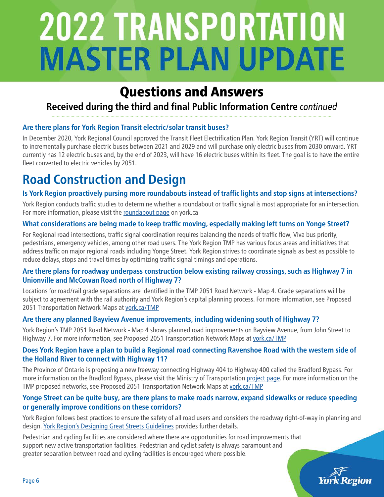## Questions and Answers

### **Received during the third and final Public Information Centre** *continued*

#### **Are there plans for York Region Transit electric/solar transit buses?**

In December 2020, York Regional Council approved the Transit Fleet Electrification Plan. York Region Transit (YRT) will continue to incrementally purchase electric buses between 2021 and 2029 and will purchase only electric buses from 2030 onward. YRT currently has 12 electric buses and, by the end of 2023, will have 16 electric buses within its fleet. The goal is to have the entire fleet converted to electric vehicles by 2051.

## **Road Construction and Design**

#### **Is York Region proactively pursing more roundabouts instead of traffic lights and stop signs at intersections?**

York Region conducts traffic studies to determine whether a roundabout or traffic signal is most appropriate for an intersection. For more information, please visit the [roundabout page](https://www.york.ca/transportation/roads/roundabouts) on york.ca

#### **What considerations are being made to keep traffic moving, especially making left turns on Yonge Street?**

For Regional road intersections, traffic signal coordination requires balancing the needs of traffic flow, Viva bus priority, pedestrians, emergency vehicles, among other road users. The York Region TMP has various focus areas and initiatives that address traffic on major regional roads including Yonge Street. York Region strives to coordinate signals as best as possible to reduce delays, stops and travel times by optimizing traffic signal timings and operations.

#### **Are there plans for roadway underpass construction below existing railway crossings, such as Highway 7 in Unionville and McCowan Road north of Highway 7?**

Locations for road/rail grade separations are identified in the TMP 2051 Road Network - Map 4. Grade separations will be subject to agreement with the rail authority and York Region's capital planning process. For more information, see Proposed 2051 Transportation Network Maps at [york.ca/TMP](https://www.york.ca/york-region/plans-reports-and-strategies/transportation-master-plan)

#### **Are there any planned Bayview Avenue improvements, including widening south of Highway 7?**

York Region's TMP 2051 Road Network - Map 4 shows planned road improvements on Bayview Avenue, from John Street to Highway 7. For more information, see Proposed 2051 Transportation Network Maps at vork.ca/TMP

#### **Does York Region have a plan to build a Regional road connecting Ravenshoe Road with the western side of the Holland River to connect with Highway 11?**

The Province of Ontario is proposing a new freeway connecting Highway 404 to Highway 400 called the Bradford Bypass. For more information on the Bradford Bypass, please visit the Ministry of Transportation [project page](https://www.bradfordbypass.ca). For more information on the TMP proposed networks, see Proposed 2051 Transportation Network Maps at [york.ca/TMP](https://www.york.ca/york-region/plans-reports-and-strategies/transportation-master-plan)

#### **Yonge Street can be quite busy, are there plans to make roads narrow, expand sidewalks or reduce speeding or generally improve conditions on these corridors?**

York Region follows best practices to ensure the safety of all road users and considers the roadway right-of-way in planning and design. [York Region's Designing Great Streets Guidelines](https://www.york.ca/business/land-development/construction-design-guidelines-and-standards) provides further details.

Pedestrian and cycling facilities are considered where there are opportunities for road improvements that support new active transportation facilities. Pedestrian and cyclist safety is always paramount and greater separation between road and cycling facilities is encouraged where possible.

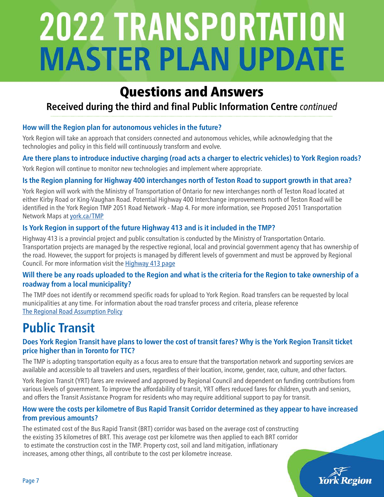## Questions and Answers

### **Received during the third and final Public Information Centre** *continued*

#### **How will the Region plan for autonomous vehicles in the future?**

York Region will take an approach that considers connected and autonomous vehicles, while acknowledging that the technologies and policy in this field will continuously transform and evolve.

#### **Are there plans to introduce inductive charging (road acts a charger to electric vehicles) to York Region roads?**

York Region will continue to monitor new technologies and implement where appropriate.

#### **Is the Region planning for Highway 400 interchanges north of Teston Road to support growth in that area?**

York Region will work with the Ministry of Transportation of Ontario for new interchanges north of Teston Road located at either Kirby Road or King-Vaughan Road. Potential Highway 400 Interchange improvements north of Teston Road will be identified in the York Region TMP 2051 Road Network - Map 4. For more information, see Proposed 2051 Transportation Network Maps at [york.ca/TMP](https://www.york.ca/york-region/plans-reports-and-strategies/transportation-master-plan)

#### **Is York Region in support of the future Highway 413 and is it included in the TMP?**

Highway 413 is a provincial project and public consultation is conducted by the Ministry of Transportation Ontario. Transportation projects are managed by the respective regional, local and provincial government agency that has ownership of the road. However, the support for projects is managed by different levels of government and must be approved by Regional Council. For more information visit the [Highway 413 page](https://www.highway413.ca/)

#### **Will there be any roads uploaded to the Region and what is the criteria for the Region to take ownership of a roadway from a local municipality?**

The TMP does not identify or recommend specific roads for upload to York Region. Road transfers can be requested by local municipalities at any time. For information about the road transfer process and criteria, please reference [The Regional Road Assumption Policy](https://www.york.ca/transportation/roads/regional-roads)

## **Public Transit**

#### **Does York Region Transit have plans to lower the cost of transit fares? Why is the York Region Transit ticket price higher than in Toronto for TTC?**

The TMP is adopting transportation equity as a focus area to ensure that the transportation network and supporting services are available and accessible to all travelers and users, regardless of their location, income, gender, race, culture, and other factors.

York Region Transit (YRT) fares are reviewed and approved by Regional Council and dependent on funding contributions from various levels of government. To improve the affordability of transit, YRT offers reduced fares for children, youth and seniors, and offers the Transit Assistance Program for residents who may require additional support to pay for transit.

#### **How were the costs per kilometre of Bus Rapid Transit Corridor determined as they appear to have increased from previous amounts?**

The estimated cost of the Bus Rapid Transit (BRT) corridor was based on the average cost of constructing the existing 35 kilometres of BRT. This average cost per kilometre was then applied to each BRT corridor to estimate the construction cost in the TMP. Property cost, soil and land mitigation, inflationary increases, among other things, all contribute to the cost per kilometre increase.

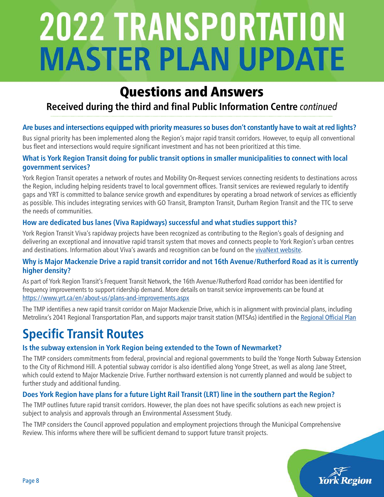## Questions and Answers

### **Received during the third and final Public Information Centre** *continued*

#### **Are buses and intersections equipped with priority measures so buses don't constantly have to wait at red lights?**

Bus signal priority has been implemented along the Region's major rapid transit corridors. However, to equip all conventional bus fleet and intersections would require significant investment and has not been prioritized at this time.

#### **What is York Region Transit doing for public transit options in smaller municipalities to connect with local government services?**

York Region Transit operates a network of routes and Mobility On-Request services connecting residents to destinations across the Region, including helping residents travel to local government offices. Transit services are reviewed regularly to identify gaps and YRT is committed to balance service growth and expenditures by operating a broad network of services as efficiently as possible. This includes integrating services with GO Transit, Brampton Transit, Durham Region Transit and the TTC to serve the needs of communities.

#### **How are dedicated bus lanes (Viva Rapidways) successful and what studies support this?**

York Region Transit Viva's rapidway projects have been recognized as contributing to the Region's goals of designing and delivering an exceptional and innovative rapid transit system that moves and connects people to York Region's urban centres and destinations. Information about Viva's awards and recognition can be found on the [vivaNext website.](https://www.vivanext.com/awards_recognition)

#### **Why is Major Mackenzie Drive a rapid transit corridor and not 16th Avenue/Rutherford Road as it is currently higher density?**

As part of York Region Transit's Frequent Transit Network, the 16th Avenue/Rutherford Road corridor has been identified for frequency improvements to support ridership demand. More details on transit service improvements can be found at <https://www.yrt.ca/en/about-us/plans-and-improvements.aspx>

The TMP identifies a new rapid transit corridor on Major Mackenzie Drive, which is in alignment with provincial plans, including Metrolinx's 2041 Regional Transportation Plan, and supports major transit station (MTSAs) identified in the [Regional Official Plan](https://www.york.ca/york-region/regional-official-plan)

## **Specific Transit Routes**

#### **Is the subway extension in York Region being extended to the Town of Newmarket?**

The TMP considers commitments from federal, provincial and regional governments to build the Yonge North Subway Extension to the City of Richmond Hill. A potential subway corridor is also identified along Yonge Street, as well as along Jane Street, which could extend to Major Mackenzie Drive. Further northward extension is not currently planned and would be subject to further study and additional funding.

#### **Does York Region have plans for a future Light Rail Transit (LRT) line in the southern part the Region?**

The TMP outlines future rapid transit corridors. However, the plan does not have specific solutions as each new project is subject to analysis and approvals through an Environmental Assessment Study.

The TMP considers the Council approved population and employment projections through the Municipal Comprehensive Review. This informs where there will be sufficient demand to support future transit projects.

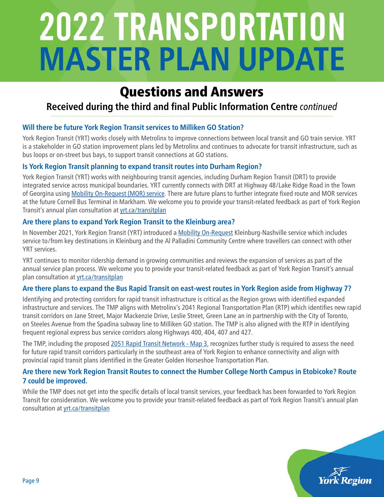## Questions and Answers

### **Received during the third and final Public Information Centre** *continued*

#### **Will there be future York Region Transit services to Milliken GO Station?**

York Region Transit (YRT) works closely with Metrolinx to improve connections between local transit and GO train service. YRT is a stakeholder in GO station improvement plans led by Metrolinx and continues to advocate for transit infrastructure, such as bus loops or on-street bus bays, to support transit connections at GO stations.

#### **Is York Region Transit planning to expand transit routes into Durham Region?**

York Region Transit (YRT) works with neighbouring transit agencies, including Durham Region Transit (DRT) to provide integrated service across municipal boundaries. YRT currently connects with DRT at Highway 48/Lake Ridge Road in the Town of Georgina using [Mobility On-Request \(MOR\) service](https://www.yrt.ca/en/our-services/mobility-on-request-service.aspx). There are future plans to further integrate fixed route and MOR services at the future Cornell Bus Terminal in Markham. We welcome you to provide your transit-related feedback as part of York Region Transit's annual plan consultation at [yrt.ca/transitplan](https://www.yrt.ca/en/about-us/transit-initiatives.aspx)

#### **Are there plans to expand York Region Transit to the Kleinburg area?**

In November 2021, York Region Transit (YRT) introduced a [Mobility On-Request](https://www.yrt.ca/en/our-services/mobility-on-request-service.aspx) Kleinburg-Nashville service which includes service to/from key destinations in Kleinburg and the Al Palladini Community Centre where travellers can connect with other YRT services.

YRT continues to monitor ridership demand in growing communities and reviews the expansion of services as part of the annual service plan process. We welcome you to provide your transit-related feedback as part of York Region Transit's annual plan consultation at [yrt.ca/transitplan](https://www.yrt.ca/en/about-us/transit-initiatives.aspx)

#### **Are there plans to expand the Bus Rapid Transit on east-west routes in York Region aside from Highway 7?**

Identifying and protecting corridors for rapid transit infrastructure is critical as the Region grows with identified expanded infrastructure and services. The TMP aligns with Metrolinx's 2041 Regional Transportation Plan (RTP) which identifies new rapid transit corridors on Jane Street, Major Mackenzie Drive, Leslie Street, Green Lane an in partnership with the City of Toronto, on Steeles Avenue from the Spadina subway line to Milliken GO station. The TMP is also aligned with the RTP in identifying frequent regional express bus service corridors along Highways 400, 404, 407 and 427.

The TMP, including the proposed [2051 Rapid Transit Network - Map 3](https://www.york.ca/york-region/plans-reports-and-strategies/transportation-master-plan), recognizes further study is required to assess the need for future rapid transit corridors particularly in the southeast area of York Region to enhance connectivity and align with provincial rapid transit plans identified in the Greater Golden Horseshoe Transportation Plan.

#### **Are there new York Region Transit Routes to connect the Humber College North Campus in Etobicoke? Route 7 could be improved.**

While the TMP does not get into the specific details of local transit services, your feedback has been forwarded to York Region Transit for consideration. We welcome you to provide your transit-related feedback as part of York Region Transit's annual plan consultation at [yrt.ca/transitplan](https://www.yrt.ca/en/about-us/transit-initiatives.aspx)

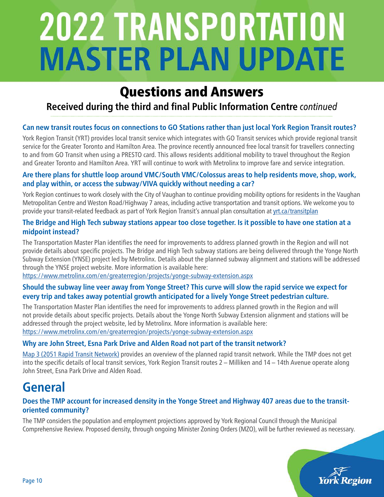## Questions and Answers

### **Received during the third and final Public Information Centre** *continued*

#### **Can new transit routes focus on connections to GO Stations rather than just local York Region Transit routes?**

York Region Transit (YRT) provides local transit service which integrates with GO Transit services which provide regional transit service for the Greater Toronto and Hamilton Area. The province recently announced free local transit for travellers connecting to and from GO Transit when using a PRESTO card. This allows residents additional mobility to travel throughout the Region and Greater Toronto and Hamilton Area. YRT will continue to work with Metrolinx to improve fare and service integration.

#### **Are there plans for shuttle loop around VMC/South VMC/Colossus areas to help residents move, shop, work, and play within, or access the subway/VIVA quickly without needing a car?**

York Region continues to work closely with the City of Vaughan to continue providing mobility options for residents in the Vaughan Metropolitan Centre and Weston Road/Highway 7 areas, including active transportation and transit options. We welcome you to provide your transit-related feedback as part of York Region Transit's annual plan consultation at [yrt.ca/transitplan](https://www.yrt.ca/en/about-us/transit-initiatives.aspx)

#### **The Bridge and High Tech subway stations appear too close together. Is it possible to have one station at a midpoint instead?**

The Transportation Master Plan identifies the need for improvements to address planned growth in the Region and will not provide details about specific projects. The Bridge and High Tech subway stations are being delivered through the Yonge North Subway Extension (YNSE) project led by Metrolinx. Details about the planned subway alignment and stations will be addressed through the YNSE project website. More information is available here:

<https://www.metrolinx.com/en/greaterregion/projects/yonge-subway-extension.aspx>

#### **Should the subway line veer away from Yonge Street? This curve will slow the rapid service we expect for every trip and takes away potential growth anticipated for a lively Yonge Street pedestrian culture.**

The Transportation Master Plan identifies the need for improvements to address planned growth in the Region and will not provide details about specific projects. Details about the Yonge North Subway Extension alignment and stations will be addressed through the project website, led by Metrolinx. More information is available here: [https://www.metrolinx.com/en/greaterregion/projects/yonge-subway-extension.aspx](https://www.york.ca/york-region/plans-reports-and-strategies/transportation-master-plan)

#### **[Why are John Street, Esna Park Drive and Alden Road not part of the transit network?](https://www.york.ca/york-region/plans-reports-and-strategies/transportation-master-plan)**

[Map 3 \(2051 Rapid Transit Network\) provides an overview of the planned rapid transit network. While the TMP does not get](https://www.york.ca/york-region/plans-reports-and-strategies/transportation-master-plan)  into the specific details of local transit services, York Region Transit routes 2 – Milliken and 14 – 14th Avenue operate along John Street, Esna Park Drive and Alden Road.

## **General**

#### **Does the TMP account for increased density in the Yonge Street and Highway 407 areas due to the transitoriented community?**

The TMP considers the population and employment projections approved by York Regional Council through the Municipal Comprehensive Review. Proposed density, through ongoing Minister Zoning Orders (MZO), will be further reviewed as necessary.